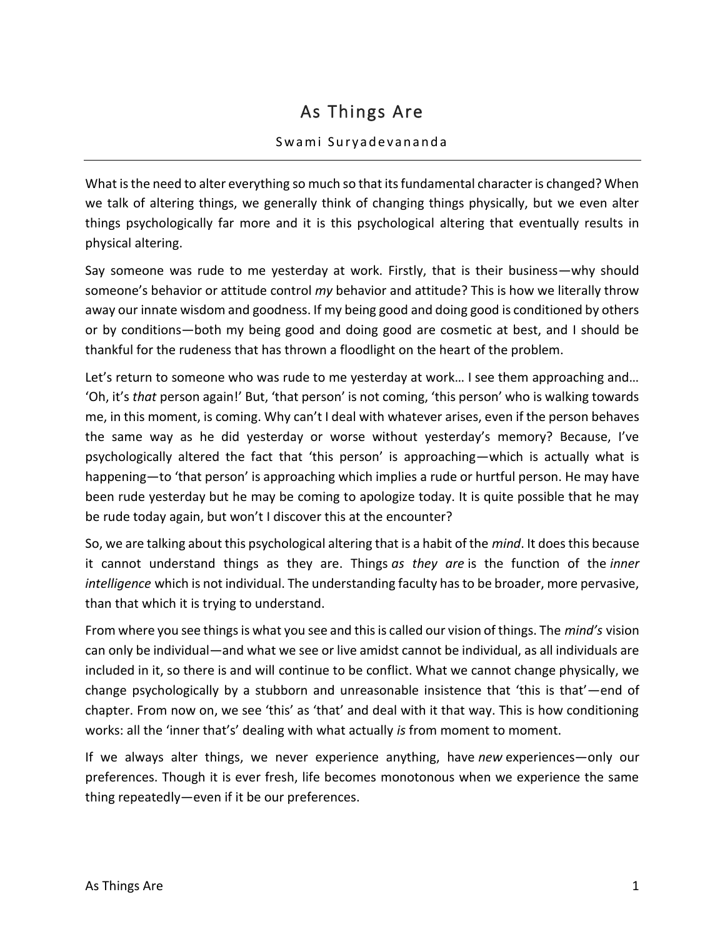## As Things Are

## Swami Suryadevananda

What is the need to alter everything so much so that its fundamental character is changed? When we talk of altering things, we generally think of changing things physically, but we even alter things psychologically far more and it is this psychological altering that eventually results in physical altering.

Say someone was rude to me yesterday at work. Firstly, that is their business—why should someone's behavior or attitude control *my* behavior and attitude? This is how we literally throw away our innate wisdom and goodness. If my being good and doing good is conditioned by others or by conditions—both my being good and doing good are cosmetic at best, and I should be thankful for the rudeness that has thrown a floodlight on the heart of the problem.

Let's return to someone who was rude to me yesterday at work... I see them approaching and... 'Oh, it's *that* person again!' But, 'that person' is not coming, 'this person' who is walking towards me, in this moment, is coming. Why can't I deal with whatever arises, even if the person behaves the same way as he did yesterday or worse without yesterday's memory? Because, I've psychologically altered the fact that 'this person' is approaching—which is actually what is happening—to 'that person' is approaching which implies a rude or hurtful person. He may have been rude yesterday but he may be coming to apologize today. It is quite possible that he may be rude today again, but won't I discover this at the encounter?

So, we are talking about this psychological altering that is a habit of the *mind*. It does this because it cannot understand things as they are. Things *as they are* is the function of the *inner intelligence* which is not individual. The understanding faculty has to be broader, more pervasive, than that which it is trying to understand.

From where you see things is what you see and this is called our vision of things. The *mind's* vision can only be individual—and what we see or live amidst cannot be individual, as all individuals are included in it, so there is and will continue to be conflict. What we cannot change physically, we change psychologically by a stubborn and unreasonable insistence that 'this is that'—end of chapter. From now on, we see 'this' as 'that' and deal with it that way. This is how conditioning works: all the 'inner that's' dealing with what actually *is* from moment to moment.

If we always alter things, we never experience anything, have *new* experiences—only our preferences. Though it is ever fresh, life becomes monotonous when we experience the same thing repeatedly—even if it be our preferences.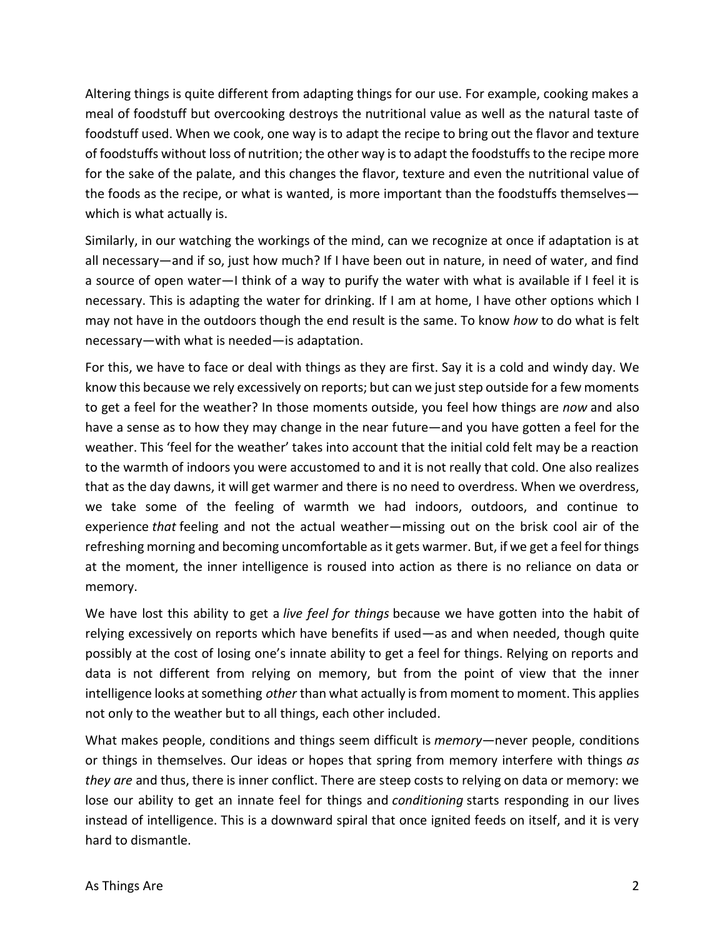Altering things is quite different from adapting things for our use. For example, cooking makes a meal of foodstuff but overcooking destroys the nutritional value as well as the natural taste of foodstuff used. When we cook, one way is to adapt the recipe to bring out the flavor and texture of foodstuffs without loss of nutrition; the other way is to adapt the foodstuffs to the recipe more for the sake of the palate, and this changes the flavor, texture and even the nutritional value of the foods as the recipe, or what is wanted, is more important than the foodstuffs themselves which is what actually is.

Similarly, in our watching the workings of the mind, can we recognize at once if adaptation is at all necessary—and if so, just how much? If I have been out in nature, in need of water, and find a source of open water—I think of a way to purify the water with what is available if I feel it is necessary. This is adapting the water for drinking. If I am at home, I have other options which I may not have in the outdoors though the end result is the same. To know *how* to do what is felt necessary—with what is needed—is adaptation.

For this, we have to face or deal with things as they are first. Say it is a cold and windy day. We know this because we rely excessively on reports; but can we just step outside for a few moments to get a feel for the weather? In those moments outside, you feel how things are *now* and also have a sense as to how they may change in the near future—and you have gotten a feel for the weather. This 'feel for the weather' takes into account that the initial cold felt may be a reaction to the warmth of indoors you were accustomed to and it is not really that cold. One also realizes that as the day dawns, it will get warmer and there is no need to overdress. When we overdress, we take some of the feeling of warmth we had indoors, outdoors, and continue to experience *that* feeling and not the actual weather—missing out on the brisk cool air of the refreshing morning and becoming uncomfortable as it gets warmer. But, if we get a feel for things at the moment, the inner intelligence is roused into action as there is no reliance on data or memory.

We have lost this ability to get a *live feel for things* because we have gotten into the habit of relying excessively on reports which have benefits if used—as and when needed, though quite possibly at the cost of losing one's innate ability to get a feel for things. Relying on reports and data is not different from relying on memory, but from the point of view that the inner intelligence looks at something *other* than what actually is from moment to moment. This applies not only to the weather but to all things, each other included.

What makes people, conditions and things seem difficult is *memory*—never people, conditions or things in themselves. Our ideas or hopes that spring from memory interfere with things *as they are* and thus, there is inner conflict. There are steep costs to relying on data or memory: we lose our ability to get an innate feel for things and *conditioning* starts responding in our lives instead of intelligence. This is a downward spiral that once ignited feeds on itself, and it is very hard to dismantle.